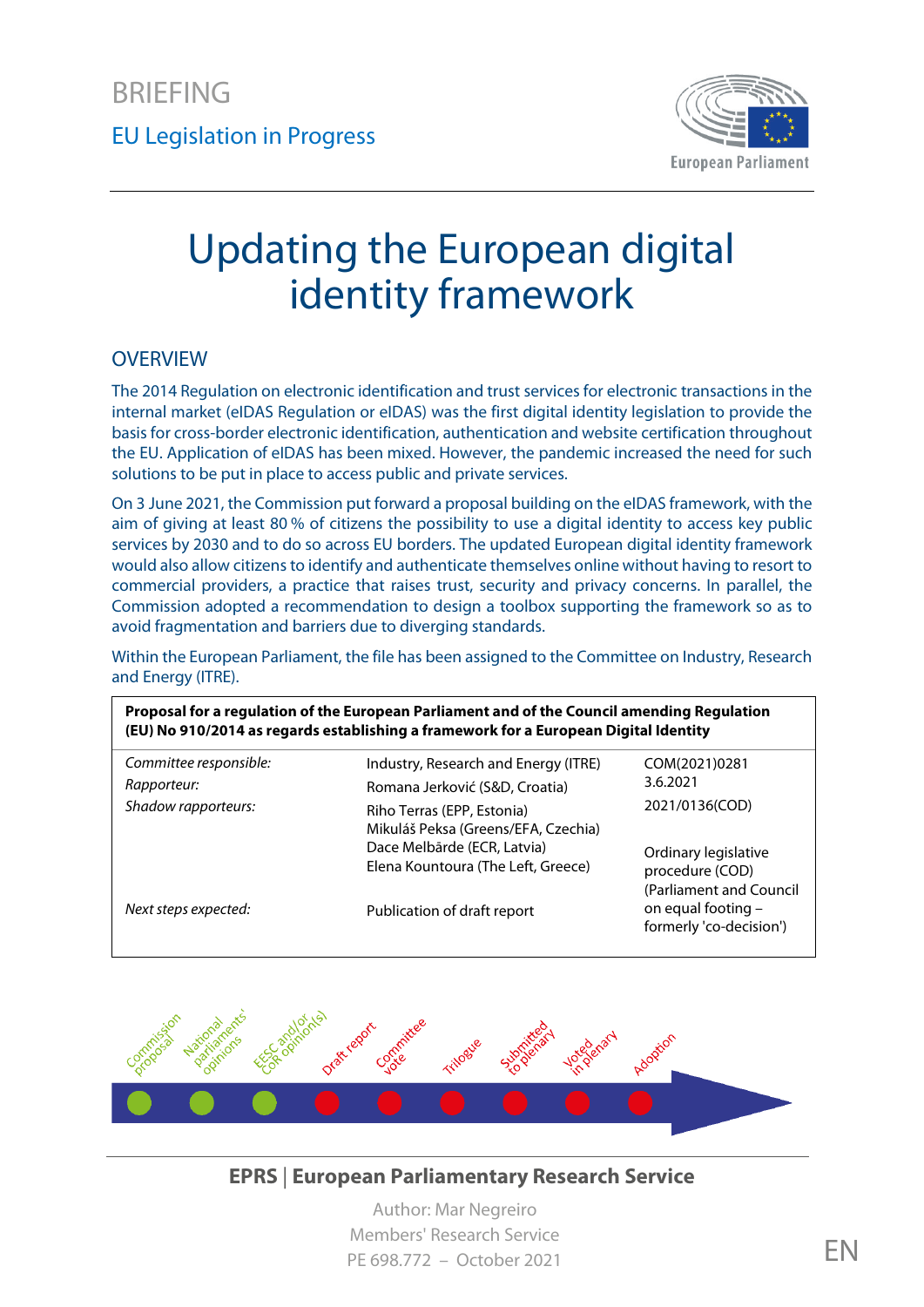

# Updating the European digital identity framework

#### **OVERVIEW**

The 2014 Regulation on electronic identification and trust services for electronic transactions in the internal market (eIDAS Regulation or eIDAS) was the first digital identity legislation to provide the basis for cross-border electronic identification, authentication and website certification throughout the EU. Application of eIDAS has been mixed. However, the pandemic increased the need for such solutions to be put in place to access public and private services.

On 3 June 2021, the Commission put forward a proposal building on the eIDAS framework, with the aim of giving at least 80 % of citizens the possibility to use a digital identity to access key public services by 2030 and to do so across EU borders. The updated European digital identity framework would also allow citizens to identify and authenticate themselves online without having to resort to commercial providers, a practice that raises trust, security and privacy concerns. In parallel, the Commission adopted a recommendation to design a toolbox supporting the framework so as to avoid fragmentation and barriers due to diverging standards.

Within the European Parliament, the file has been assigned to the Committee on Industry, Research and Energy (ITRE).

| Proposal for a regulation of the European Parliament and of the Council amending Regulation<br>(EU) No 910/2014 as regards establishing a framework for a European Digital Identity |                                                                                                                                        |                                                                                      |
|-------------------------------------------------------------------------------------------------------------------------------------------------------------------------------------|----------------------------------------------------------------------------------------------------------------------------------------|--------------------------------------------------------------------------------------|
| Committee responsible:                                                                                                                                                              | Industry, Research and Energy (ITRE)                                                                                                   | COM(2021)0281                                                                        |
| Rapporteur:                                                                                                                                                                         | Romana Jerković (S&D, Croatia)                                                                                                         | 3.6.2021                                                                             |
| Shadow rapporteurs:                                                                                                                                                                 | Riho Terras (EPP, Estonia)<br>Mikuláš Peksa (Greens/EFA, Czechia)<br>Dace Melbārde (ECR, Latvia)<br>Elena Kountoura (The Left, Greece) | 2021/0136(COD)<br>Ordinary legislative<br>procedure (COD)<br>(Parliament and Council |
| Next steps expected:                                                                                                                                                                | Publication of draft report                                                                                                            | on equal footing -<br>formerly 'co-decision')                                        |



#### **EPRS** | **European Parliamentary Research Service**

Author: Mar Negreiro Members' Research Service PE 698.772 – October 2021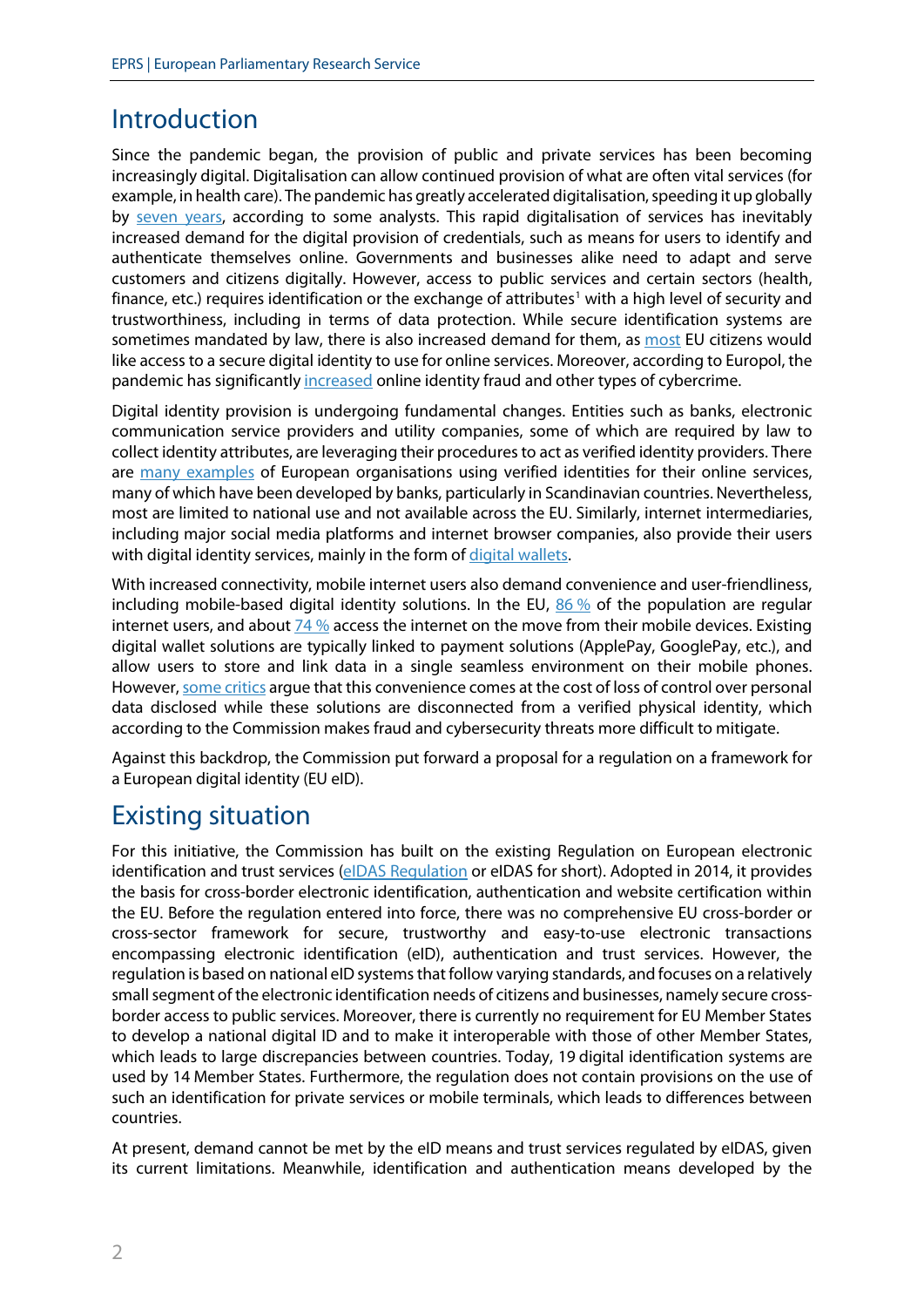### Introduction

Since the pandemic began, the provision of public and private services has been becoming increasingly digital. Digitalisation can allow continued provision of what are often vital services (for example, in health care). The pandemic has greatly accelerated digitalisation, speeding it up globally by [seven years,](https://www.mckinsey.com/business-functions/strategy-and-corporate-finance/our-insights/how-covid-19-has-pushed-companies-over-the-technology-tipping-point-and-transformed-business-forever) according to some analysts. This rapid digitalisation of services has inevitably increased demand for the digital provision of credentials, such as means for users to identify and authenticate themselves online. Governments and businesses alike need to adapt and serve customers and citizens digitally. However, access to public services and certain sectors (health, finance, etc.) requires identification or the exchange of attributes<sup>[1](#page-8-0)</sup> with a high level of security and trustworthiness, including in terms of data protection. While secure identification systems are sometimes mandated by law, there is also increased demand for them, as [most](https://europa.eu/eurobarometer/surveys/detail/2228) EU citizens would like access to a secure digital identity to use for online services. Moreover, according to Europol, the pandemic has significantly [increased](https://www.europol.europa.eu/activities-services/main-reports/internet-organised-crime-threat-assessment) online identity fraud and other types of cybercrime.

Digital identity provision is undergoing fundamental changes. Entities such as banks, electronic communication service providers and utility companies, some of which are required by law to collect identity attributes, are leveraging their procedures to act as verified identity providers. There are [many examples](https://www.ubisecure.com/authentication/european-verified-digital-identities/) of European organisations using verified identities for their online services, many of which have been developed by banks, particularly in Scandinavian countries. Nevertheless, most are limited to national use and not available across the EU. Similarly, internet intermediaries, including major social media platforms and internet browser companies, also provide their users with digital identity services, mainly in the form o[f digital wallets.](https://www.europarl.europa.eu/thinktank/en/document.html?reference=EPRS_BRI(2020)649341)

With increased connectivity, mobile internet users also demand convenience and user-friendliness, including mobile-based digital identity solutions. In the EU,  $86\%$  $86\%$  of the population are regular internet users, and about [74](https://ec.europa.eu/eurostat/databrowser/view/tin00083/default/table?lang=en) [%](https://ec.europa.eu/eurostat/databrowser/view/tin00083/default/table?lang=en) access the internet on the move from their mobile devices. Existing digital wallet solutions are typically linked to payment solutions (ApplePay, GooglePay, etc.), and allow users to store and link data in a single seamless environment on their mobile phones. However[, some critics](https://eur-lex.europa.eu/legal-content/EN/TXT/PDF/?uri=CELEX:52021DC0290) argue that this convenience comes at the cost of loss of control over personal data disclosed while these solutions are disconnected from a verified physical identity, which according to the Commission makes fraud and cybersecurity threats more difficult to mitigate.

Against this backdrop, the Commission put forward a proposal for a regulation on a framework for a European digital identity (EU eID).

# Existing situation

For this initiative, the Commission has built on the existing Regulation on European electronic identification and trust services [\(eIDAS Regulation](https://eur-lex.europa.eu/legal-content/EN/TXT/?uri=uriserv:OJ.L_.2014.257.01.0073.01.ENG) or eIDAS for short). Adopted in 2014, it provides the basis for cross-border electronic identification, authentication and website certification within the EU. Before the regulation entered into force, there was no comprehensive EU cross-border or cross-sector framework for secure, trustworthy and easy-to-use electronic transactions encompassing electronic identification (eID), authentication and trust services. However, the regulation is based on national eID systems that follow varying standards, and focuses on a relatively small segment of the electronic identification needs of citizens and businesses, namely secure crossborder access to public services. Moreover, there is currently no requirement for EU Member States to develop a national digital ID and to make it interoperable with those of other Member States, which leads to large discrepancies between countries. Today, 19 digital identification systems are used by 14 Member States. Furthermore, the regulation does not contain provisions on the use of such an identification for private services or mobile terminals, which leads to differences between countries.

At present, demand cannot be met by the eID means and trust services regulated by eIDAS, given its current limitations. Meanwhile, identification and authentication means developed by the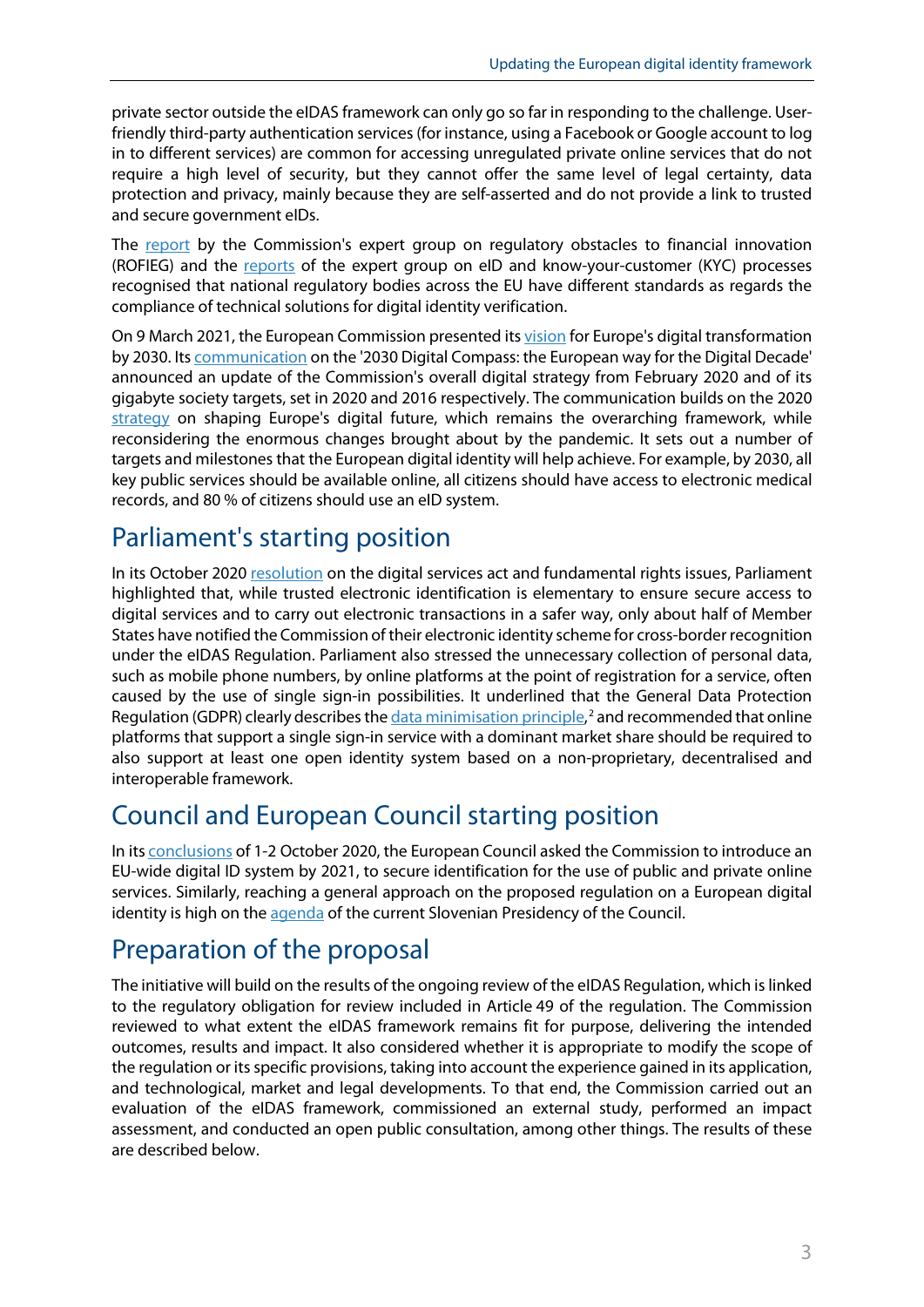private sector outside the eIDAS framework can only go so far in responding to the challenge. Userfriendly third-party authentication services (for instance, using a Facebook or Google account to log in to different services) are common for accessing unregulated private online services that do not require a high level of security, but they cannot offer the same level of legal certainty, data protection and privacy, mainly because they are self-asserted and do not provide a link to trusted and secure government eIDs.

The [report](https://ec.europa.eu/info/publications/191113-report-expert-group-regulatory-obstacles-financial-innovation_en) by the Commission's expert group on regulatory obstacles to financial innovation (ROFIEG) and the [reports](https://digital-strategy.ec.europa.eu/en/library/reports-expert-group-eid-and-kyc-processes) of the expert group on eID and know-your-customer (KYC) processes recognised that national regulatory bodies across the EU have different standards as regards the compliance of technical solutions for digital identity verification.

On 9 March 2021, the European Commission presente[d its vision](https://www.europarl.europa.eu/thinktank/en/document.html?reference=EPRS_BRI%282021%29696189) for Europe's digital transformation by 2030. It[s communication](https://eur-lex.europa.eu/legal-content/en/TXT/?uri=CELEX%3A52021DC0118) on the '2030 Digital Compass: the European way for the Digital Decade' announced an update of the Commission's overall digital strategy from February 2020 and of its gigabyte society targets, set in 2020 and 2016 respectively. The communication builds on the 2020 [strategy](https://eur-lex.europa.eu/legal-content/EN/TXT/?uri=CELEX:52020DC0067) on shaping Europe's digital future, which remains the overarching framework, while reconsidering the enormous changes brought about by the pandemic. It sets out a number of targets and milestones that the European digital identity will help achieve. For example, by 2030, all key public services should be available online, all citizens should have access to electronic medical records, and 80 % of citizens should use an eID system.

## Parliament's starting position

In its October 202[0 resolution](https://www.europarl.europa.eu/doceo/document/TA-9-2020-0274_EN.html) on the digital services act and fundamental rights issues, Parliament highlighted that, while trusted electronic identification is elementary to ensure secure access to digital services and to carry out electronic transactions in a safer way, only about half of Member States have notified the Commission of their electronic identity scheme for cross-border recognition under the eIDAS Regulation. Parliament also stressed the unnecessary collection of personal data, such as mobile phone numbers, by online platforms at the point of registration for a service, often caused by the use of single sign-in possibilities. It underlined that the General Data Protection Regulation (GDPR) clearly describes the *data minimisation principle*,<sup>[2](#page-8-1)</sup> and recommended that online platforms that support a single sign-in service with a dominant market share should be required to also support at least one open identity system based on a non-proprietary, decentralised and interoperable framework.

# Council and European Council starting position

In it[s conclusions](https://www.consilium.europa.eu/en/meetings/european-council/2020/10/01-02/) of 1-2 October 2020, the European Council asked the Commission to introduce an EU-wide digital ID system by 2021, to secure identification for the use of public and private online services. Similarly, reaching a general approach on the proposed regulation on a European digital identity is high on the [agenda](https://www.europarl.europa.eu/news/en/press-room/20210708IPR08017/slovenian-presidency-debriefs-ep-committees-on-priorities) of the current Slovenian Presidency of the Council.

### Preparation of the proposal

The initiative will build on the results of the ongoing review of the eIDAS Regulation, which is linked to the regulatory obligation for review included in Article 49 of the regulation. The Commission reviewed to what extent the eIDAS framework remains fit for purpose, delivering the intended outcomes, results and impact. It also considered whether it is appropriate to modify the scope of the regulation or its specific provisions, taking into account the experience gained in its application, and technological, market and legal developments. To that end, the Commission carried out an evaluation of the eIDAS framework, commissioned an external study, performed an impact assessment, and conducted an open public consultation, among other things. The results of these are described below.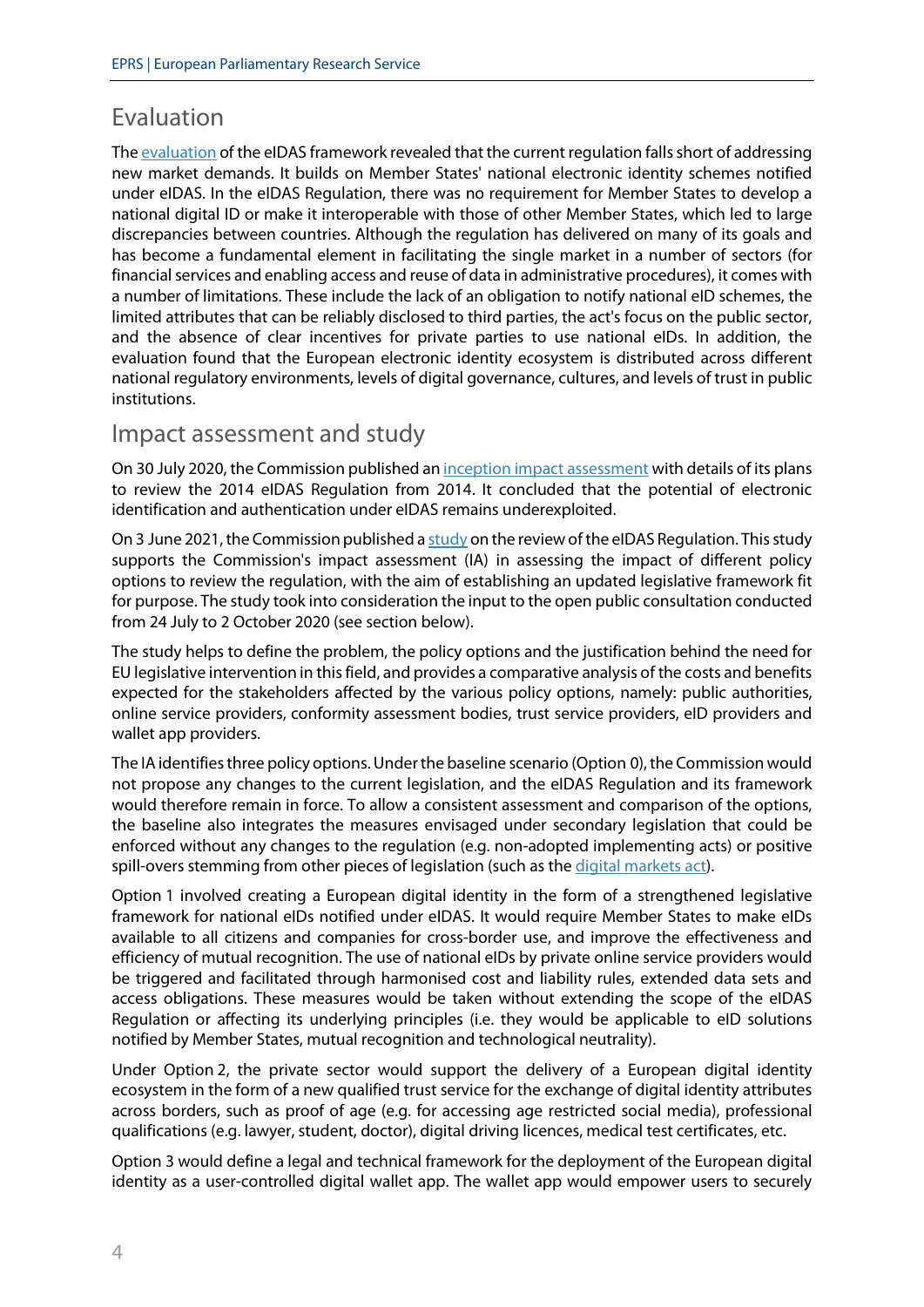### Evaluation

The evaluation [of the eIDAS framework](https://eur-lex.europa.eu/legal-content/EN/TXT/PDF/?uri=CELEX:52021DC0290) revealed that the current regulation falls short of addressing new market demands. It builds on Member States' national electronic identity schemes notified under eIDAS. In the eIDAS Regulation, there was no requirement for Member States to develop a national digital ID or make it interoperable with those of other Member States, which led to large discrepancies between countries. Although the regulation has delivered on many of its goals and has become a fundamental element in facilitating the single market in a number of sectors (for financial services and enabling access and reuse of data in administrative procedures), it comes with a number of limitations. These include the lack of an obligation to notify national eID schemes, the limited attributes that can be reliably disclosed to third parties, the act's focus on the public sector, and the absence of clear incentives for private parties to use national eIDs. In addition, the evaluation found that the European electronic identity ecosystem is distributed across different national regulatory environments, levels of digital governance, cultures, and levels of trust in public institutions.

#### Impact assessment and study

On 30 July 2020, the Commission publishe[d an inception impact assessment](https://eur-lex.europa.eu/legal-content/EN/ALL/?uri=cellar:35274ac3-cd1b-11ea-adf7-01aa75ed71a1) with details of its plans to review the 2014 eIDAS Regulation from 2014. It concluded that the potential of electronic identification and authentication under eIDAS remains underexploited.

On 3 June 2021, the Commission publishe[d a study](https://ec.europa.eu/newsroom/dae/redirection/document/76855) on the review of the eIDAS Regulation. This study supports the Commission's impact assessment (IA) in assessing the impact of different policy options to review the regulation, with the aim of establishing an updated legislative framework fit for purpose. The study took into consideration the input to the open public consultation conducted from 24 July to 2 October 2020 (see section below).

The study helps to define the problem, the policy options and the justification behind the need for EU legislative intervention in this field, and provides a comparative analysis of the costs and benefits expected for the stakeholders affected by the various policy options, namely: public authorities, online service providers, conformity assessment bodies, trust service providers, eID providers and wallet app providers.

The IA identifies three policy options. Under the baseline scenario (Option 0), the Commission would not propose any changes to the current legislation, and the eIDAS Regulation and its framework would therefore remain in force. To allow a consistent assessment and comparison of the options, the baseline also integrates the measures envisaged under secondary legislation that could be enforced without any changes to the regulation (e.g. non-adopted implementing acts) or positive spill-overs stemming from other pieces of legislation (such as the *digital markets act*).

Option 1 involved creating a European digital identity in the form of a strengthened legislative framework for national eIDs notified under eIDAS. It would require Member States to make eIDs available to all citizens and companies for cross-border use, and improve the effectiveness and efficiency of mutual recognition. The use of national eIDs by private online service providers would be triggered and facilitated through harmonised cost and liability rules, extended data sets and access obligations. These measures would be taken without extending the scope of the eIDAS Regulation or affecting its underlying principles (i.e. they would be applicable to eID solutions notified by Member States, mutual recognition and technological neutrality).

Under Option 2, the private sector would support the delivery of a European digital identity ecosystem in the form of a new qualified trust service for the exchange of digital identity attributes across borders, such as proof of age (e.g. for accessing age restricted social media), professional qualifications (e.g. lawyer, student, doctor), digital driving licences, medical test certificates, etc.

Option 3 would define a legal and technical framework for the deployment of the European digital identity as a user-controlled digital wallet app. The wallet app would empower users to securely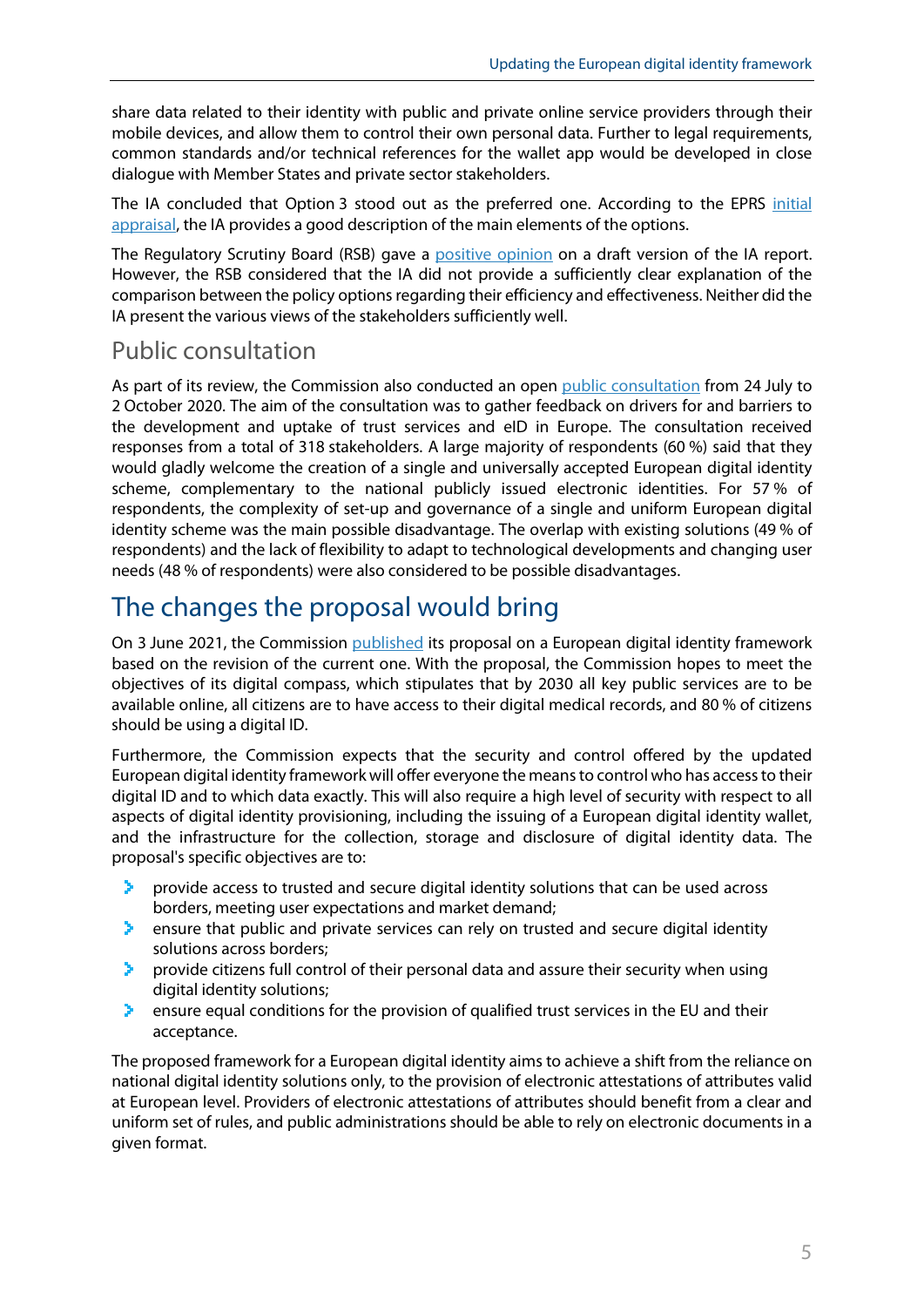share data related to their identity with public and private online service providers through their mobile devices, and allow them to control their own personal data. Further to legal requirements, common standards and/or technical references for the wallet app would be developed in close dialogue with Member States and private sector stakeholders.

The IA concluded that Option 3 stood out as the preferred one. According to the EPRS [initial](http://www.europarl.europa.eu/thinktank/en/document.html?reference=EPRS_BRI(2021)694244)  [appraisal,](http://www.europarl.europa.eu/thinktank/en/document.html?reference=EPRS_BRI(2021)694244) the IA provides a good description of the main elements of the options.

The Regulatory Scrutiny Board (RSB) gave a [positive opinion](https://eur-lex.europa.eu/legal-content/EN/TXT/PDF/?uri=PI_COM:SEC(2021)228&from=EN) on a draft version of the IA report. However, the RSB considered that the IA did not provide a sufficiently clear explanation of the comparison between the policy options regarding their efficiency and effectiveness. Neither did the IA present the various views of the stakeholders sufficiently well.

#### Public consultation

As part of its review, the Commission also conducted an open [public consultation](https://ec.europa.eu/info/law/better-regulation/have-your-say/initiatives/12528-EU-digital-ID-scheme-for-online-transactions-across-Europe_en) from 24 July to 2 October 2020. The aim of the consultation was to gather feedback on drivers for and barriers to the development and uptake of trust services and eID in Europe. The consultation received responses from a total of 318 stakeholders. A large majority of respondents (60 %) said that they would gladly welcome the creation of a single and universally accepted European digital identity scheme, complementary to the national publicly issued electronic identities. For 57 % of respondents, the complexity of set-up and governance of a single and uniform European digital identity scheme was the main possible disadvantage. The overlap with existing solutions (49 % of respondents) and the lack of flexibility to adapt to technological developments and changing user needs (48 % of respondents) were also considered to be possible disadvantages.

# The changes the proposal would bring

On 3 June 2021, the Commission [published](https://ec.europa.eu/commission/presscorner/detail/en/ip_21_2663) its proposal on a European digital identity framework based on the revision of the current one. With the proposal, the Commission hopes to meet the objectives of its digital compass, which stipulates that by 2030 all key public services are to be available online, all citizens are to have access to their digital medical records, and 80 % of citizens should be using a digital ID.

Furthermore, the Commission expects that the security and control offered by the updated European digital identity framework will offer everyone the means to control who has access to their digital ID and to which data exactly. This will also require a high level of security with respect to all aspects of digital identity provisioning, including the issuing of a European digital identity wallet, and the infrastructure for the collection, storage and disclosure of digital identity data. The proposal's specific objectives are to:

- ×. provide access to trusted and secure digital identity solutions that can be used across borders, meeting user expectations and market demand;
- ъ. ensure that public and private services can rely on trusted and secure digital identity solutions across borders;
- provide citizens full control of their personal data and assure their security when using У. digital identity solutions;
- ensure equal conditions for the provision of qualified trust services in the EU and their ⋗. acceptance.

The proposed framework for a European digital identity aims to achieve a shift from the reliance on national digital identity solutions only, to the provision of electronic attestations of attributes valid at European level. Providers of electronic attestations of attributes should benefit from a clear and uniform set of rules, and public administrations should be able to rely on electronic documents in a given format.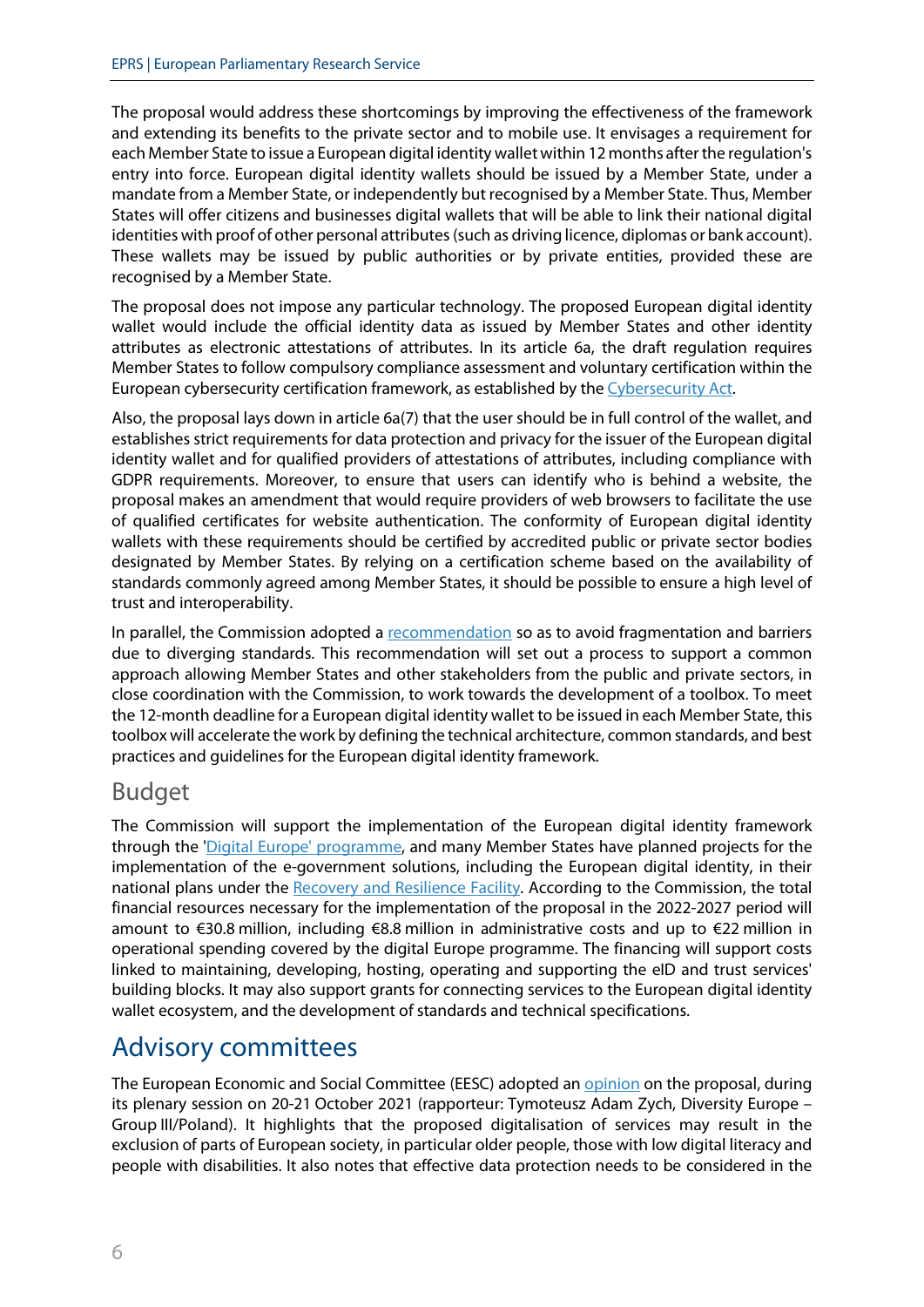The proposal would address these shortcomings by improving the effectiveness of the framework and extending its benefits to the private sector and to mobile use. It envisages a requirement for each Member State to issue a European digital identity wallet within 12 months after the regulation's entry into force. European digital identity wallets should be issued by a Member State, under a mandate from a Member State, or independently but recognised by a Member State. Thus, Member States will offer citizens and businesses digital wallets that will be able to link their national digital identities with proof of other personal attributes (such as driving licence, diplomas or bank account). These wallets may be issued by public authorities or by private entities, provided these are recognised by a Member State.

The proposal does not impose any particular technology. The proposed European digital identity wallet would include the official identity data as issued by Member States and other identity attributes as electronic attestations of attributes. In its article 6a, the draft regulation requires Member States to follow compulsory compliance assessment and voluntary certification within the European cybersecurity certification framework, as established by th[e Cybersecurity Act.](https://eur-lex.europa.eu/eli/reg/2019/881/oj)

Also, the proposal lays down in article 6a(7) that the user should be in full control of the wallet, and establishes strict requirements for data protection and privacy for the issuer of the European digital identity wallet and for qualified providers of attestations of attributes, including compliance with GDPR requirements. Moreover, to ensure that users can identify who is behind a website, the proposal makes an amendment that would require providers of web browsers to facilitate the use of qualified certificates for website authentication. The conformity of European digital identity wallets with these requirements should be certified by accredited public or private sector bodies designated by Member States. By relying on a certification scheme based on the availability of standards commonly agreed among Member States, it should be possible to ensure a high level of trust and interoperability.

In parallel, the Commission adopted a [recommendation](https://eur-lex.europa.eu/legal-content/EN/TXT/?uri=CELEX%3A32021H0946&qid=1478030835186) so as to avoid fragmentation and barriers due to diverging standards. This recommendation will set out a process to support a common approach allowing Member States and other stakeholders from the public and private sectors, in close coordination with the Commission, to work towards the development of a toolbox. To meet the 12-month deadline for a European digital identity wallet to be issued in each Member State, this toolbox will accelerate the work by defining the technical architecture, common standards, and best practices and guidelines for the European digital identity framework.

#### Budget

The Commission will support the implementation of the European digital identity framework through the ['Digital Europe'](https://digital-strategy.ec.europa.eu/en/activities/digital-programme) [programme,](https://digital-strategy.ec.europa.eu/en/activities/digital-programme) and many Member States have planned projects for the implementation of the e-government solutions, including the European digital identity, in their national plans under the [Recovery and Resilience Facility.](https://ec.europa.eu/info/business-economy-euro/recovery-coronavirus/recovery-and-resilience-facility_en) According to the Commission, the total financial resources necessary for the implementation of the proposal in the 2022-2027 period will amount to €30.8 million, including €8.8 million in administrative costs and up to €22 million in operational spending covered by the digital Europe programme. The financing will support costs linked to maintaining, developing, hosting, operating and supporting the eID and trust services' building blocks. It may also support grants for connecting services to the European digital identity wallet ecosystem, and the development of standards and technical specifications.

### Advisory committees

The European Economic and Social Committee (EESC) adopted [an opinion](https://www.eesc.europa.eu/en/our-work/opinions-information-reports/opinions/trusted-and-secure-european-e-id) on the proposal, during its plenary session on 20-21 October 2021 (rapporteur: Tymoteusz Adam Zych, Diversity Europe – Group III/Poland). It highlights that the proposed digitalisation of services may result in the exclusion of parts of European society, in particular older people, those with low digital literacy and people with disabilities. It also notes that effective data protection needs to be considered in the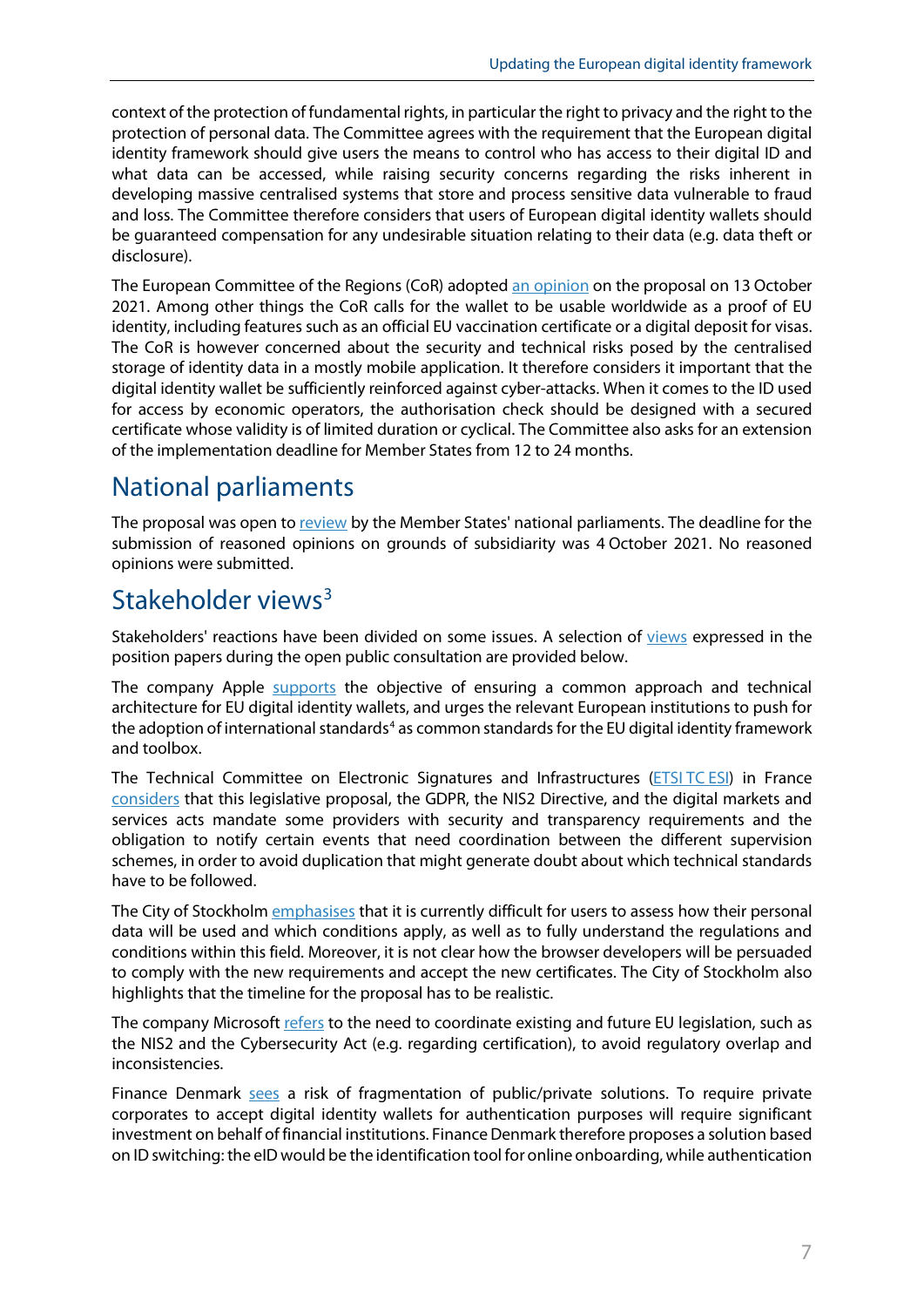context of the protection of fundamental rights, in particular the right to privacy and the right to the protection of personal data. The Committee agrees with the requirement that the European digital identity framework should give users the means to control who has access to their digital ID and what data can be accessed, while raising security concerns regarding the risks inherent in developing massive centralised systems that store and process sensitive data vulnerable to fraud and loss. The Committee therefore considers that users of European digital identity wallets should be guaranteed compensation for any undesirable situation relating to their data (e.g. data theft or disclosure).

The European Committee of the Regions (CoR) adopted [an opinion](https://cor.europa.eu/EN/our-work/Pages/OpinionTimeline.aspx?opId=CDR-3686-2021) on the proposal on 13 October 2021. Among other things the CoR calls for the wallet to be usable worldwide as a proof of EU identity, including features such as an official EU vaccination certificate or a digital deposit for visas. The CoR is however concerned about the security and technical risks posed by the centralised storage of identity data in a mostly mobile application. It therefore considers it important that the digital identity wallet be sufficiently reinforced against cyber-attacks. When it comes to the ID used for access by economic operators, the authorisation check should be designed with a secured certificate whose validity is of limited duration or cyclical. The Committee also asks for an extension of the implementation deadline for Member States from 12 to 24 months.

# National parliaments

The proposal was open to [review](https://ipexl.europarl.europa.eu/IPEXL-WEB/document/COM-2021-281) by the Member States' national parliaments. The deadline for the submission of reasoned opinions on grounds of subsidiarity was 4 October 2021. No reasoned opinions were submitted.

# Stakeholder views<sup>[3](#page-8-2)</sup>

Stakeholders' reactions have been divided on some issues. A selection of [views](https://ec.europa.eu/info/law/better-regulation/have-your-say/initiatives/12528-EU-digital-ID-scheme-for-online-transactions-across-Europe/feedback_en?p_id=8243776) expressed in the position papers during the open public consultation are provided below.

The company Apple [supports](https://ec.europa.eu/info/law/better-regulation/have-your-say/initiatives/12528-EU-digital-ID-scheme-for-online-transactions-across-Europe/F2669161_en) the objective of ensuring a common approach and technical architecture for EU digital identity wallets, and urges the relevant European institutions to push for the adoption of international standards<sup>[4](#page-8-3)</sup> as common standards for the EU digital identity framework and toolbox.

The Technical Committee on Electronic Signatures and Infrastructures [\(ETSI](https://ec.europa.eu/info/law/better-regulation/have-your-say/initiatives/12528-EU-digital-ID-scheme-for-online-transactions-across-Europe/F2669169_en) TC [ESI\)](https://ec.europa.eu/info/law/better-regulation/have-your-say/initiatives/12528-EU-digital-ID-scheme-for-online-transactions-across-Europe/F2669169_en) in France [considers](https://ec.europa.eu/info/law/better-regulation/have-your-say/initiatives/12528-EU-digital-ID-scheme-for-online-transactions-across-Europe/F2669169_en) that this legislative proposal, the GDPR, the NIS2 Directive, and the digital markets and services acts mandate some providers with security and transparency requirements and the obligation to notify certain events that need coordination between the different supervision schemes, in order to avoid duplication that might generate doubt about which technical standards have to be followed.

The City of Stockholm [emphasises](https://ec.europa.eu/info/law/better-regulation/have-your-say/initiatives/12528-EU-digital-ID-scheme-for-online-transactions-across-Europe/F2669087_en) that it is currently difficult for users to assess how their personal data will be used and which conditions apply, as well as to fully understand the regulations and conditions within this field. Moreover, it is not clear how the browser developers will be persuaded to comply with the new requirements and accept the new certificates. The City of Stockholm also highlights that the timeline for the proposal has to be realistic.

The company Microsoft [refers](https://ec.europa.eu/info/law/better-regulation/have-your-say/initiatives/12528-EU-digital-ID-scheme-for-online-transactions-across-Europe/F2669090_en) to the need to coordinate existing and future EU legislation, such as the NIS2 and the Cybersecurity Act (e.g. regarding certification), to avoid regulatory overlap and inconsistencies.

Finance Denmark [sees](https://ec.europa.eu/info/law/better-regulation/have-your-say/initiatives/12528-EU-digital-ID-scheme-for-online-transactions-across-Europe/F2669065_en) a risk of fragmentation of public/private solutions. To require private corporates to accept digital identity wallets for authentication purposes will require significant investment on behalf of financial institutions. Finance Denmark therefore proposes a solution based on ID switching: the eID would be the identification tool for online onboarding, while authentication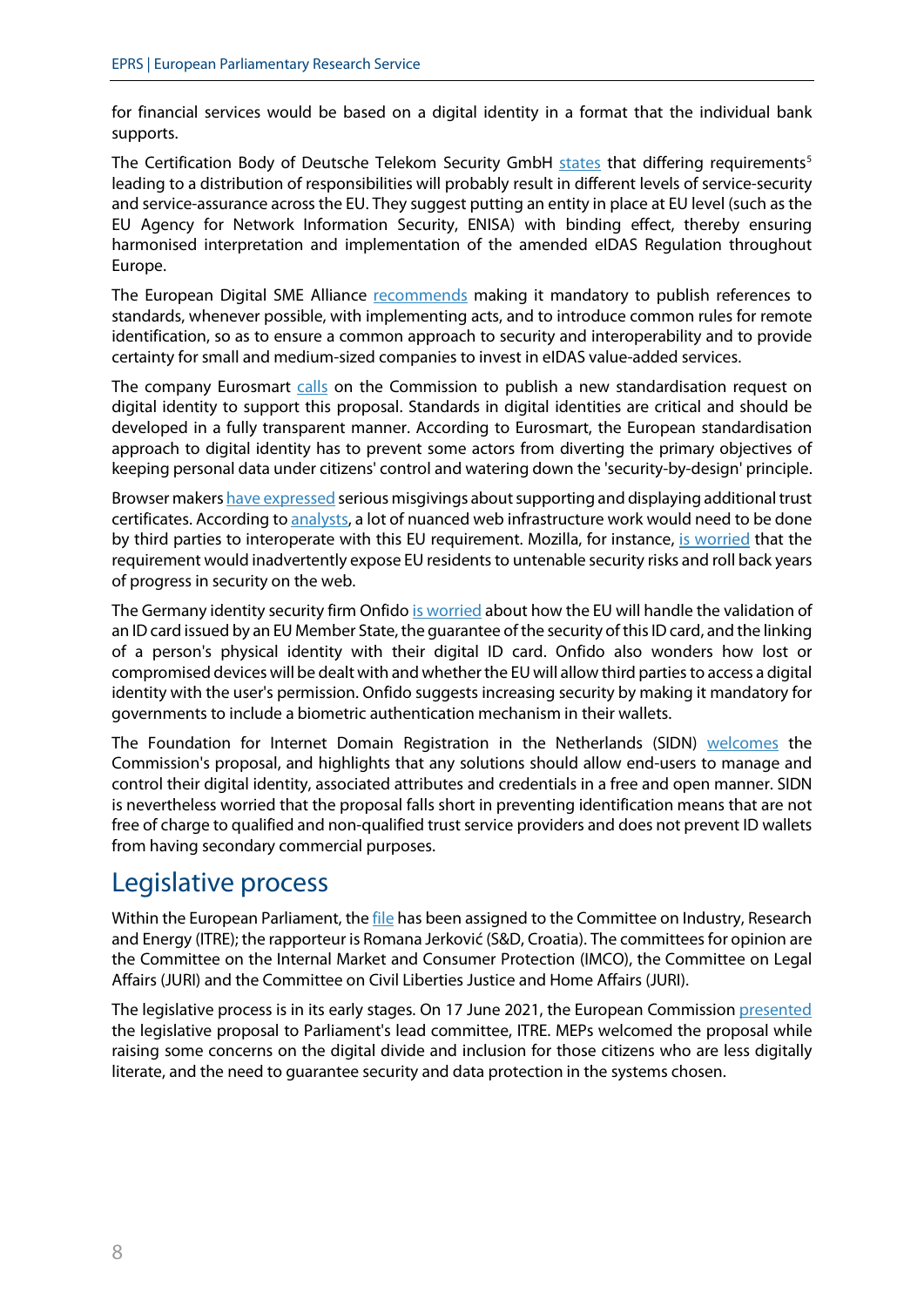for financial services would be based on a digital identity in a format that the individual bank supports.

The Certification Body of Deutsche Telekom Security GmbH [states](https://ec.europa.eu/info/law/better-regulation/have-your-say/initiatives/12528-EU-digital-ID-scheme-for-online-transactions-across-Europe/F2667600_en) that differing requirements<sup>[5](#page-8-4)</sup> leading to a distribution of responsibilities will probably result in different levels of service-security and service-assurance across the EU. They suggest putting an entity in place at EU level (such as the EU Agency for Network Information Security, ENISA) with binding effect, thereby ensuring harmonised interpretation and implementation of the amended eIDAS Regulation throughout Europe.

The European Digital SME Alliance [recommends](https://www.digitalsme.eu/digital/uploads/Position-paper-on-eIDAS-Regulation-Strengthening-SMEs-through-standardisation.pdf) making it mandatory to publish references to standards, whenever possible, with implementing acts, and to introduce common rules for remote identification, so as to ensure a common approach to security and interoperability and to provide certainty for small and medium-sized companies to invest in eIDAS value-added services.

The company Eurosmart [calls](https://www.eurosmart.com/eurosmarts-feedback-on-the-revision-of-eidas/) on the Commission to publish a new standardisation request on digital identity to support this proposal. Standards in digital identities are critical and should be developed in a fully transparent manner. According to Eurosmart, the European standardisation approach to digital identity has to prevent some actors from diverting the primary objectives of keeping personal data under citizens' control and watering down the 'security-by-design' principle.

Browser maker[s have expressed](https://www.ccadb.org/documents/qualified_website_authentication_certificates_interoperability.pdf) serious misgivings about supporting and displaying additional trust certificates. According t[o analysts,](https://techcrunch.com/2021/06/03/europe-wants-to-go-its-own-way-on-digital-identity/?guccounter=1&guce_referrer=aHR0cHM6Ly93d3cuZ29vZ2xlLmNvbS8&guce_referrer_sig=AQAAANqBqYQKWBQjPjnAQEv62bY2WrVraeL1b0EVqVMXMyHfh1BzQemgx7kPnF8nsEWlD2oxxki5WkNUhQWrB9IB07RsiU2DB8zQIHcYADwb5UipKyPqsfcuzIEmefyJK6s8q3CR4mcGYrB8-DwQ1nSCYsiX2SUz3fwi1RqdYaFPN8Ag) a lot of nuanced web infrastructure work would need to be done by third parties to interoperate with this EU requirement. Mozilla, for instance, [is worried](https://ec.europa.eu/info/law/better-regulation/have-your-say/initiatives/12528-EU-digital-ID-scheme-for-online-transactions-across-Europe/F2669175_en) that the requirement would inadvertently expose EU residents to untenable security risks and roll back years of progress in security on the web.

The Germany identity security firm Onfid[o is worried](https://ec.europa.eu/info/law/better-regulation/have-your-say/initiatives/12528-EU-digital-ID-scheme-for-online-transactions-across-Europe/F2669158_en) about how the EU will handle the validation of an ID card issued by an EU Member State, the guarantee of the security of this ID card, and the linking of a person's physical identity with their digital ID card. Onfido also wonders how lost or compromised devices will be dealt with and whether the EU will allow third parties to access a digital identity with the user's permission. Onfido suggests increasing security by making it mandatory for governments to include a biometric authentication mechanism in their wallets.

The Foundation for Internet Domain Registration in the Netherlands (SIDN) [welcomes](https://ec.europa.eu/info/law/better-regulation/have-your-say/initiatives/12528-EU-digital-ID-scheme-for-online-transactions-across-Europe/F2669099_en) the Commission's proposal, and highlights that any solutions should allow end-users to manage and control their digital identity, associated attributes and credentials in a free and open manner. SIDN is nevertheless worried that the proposal falls short in preventing identification means that are not free of charge to qualified and non-qualified trust service providers and does not prevent ID wallets from having secondary commercial purposes.

### Legislative process

Within the European Parliament[, the file](https://oeil.secure.europarl.europa.eu/oeil/popups/ficheprocedure.do?reference=2021/0136(COD)&l=en) has been assigned to the Committee on Industry, Research and Energy (ITRE); the rapporteur is Romana Jerković (S&D, Croatia). The committees for opinion are the Committee on the Internal Market and Consumer Protection (IMCO), the Committee on Legal Affairs (JURI) and the Committee on Civil Liberties Justice and Home Affairs (JURI).

The legislative process is in its early stages. On 17 June 2021, the European Commissio[n presented](https://multimedia.europarl.europa.eu/en/committee-on-industry-research-and-energy_20210617-1645-COMMITTEE-ITRE_vd) the legislative proposal to Parliament's lead committee, ITRE. MEPs welcomed the proposal while raising some concerns on the digital divide and inclusion for those citizens who are less digitally literate, and the need to guarantee security and data protection in the systems chosen.